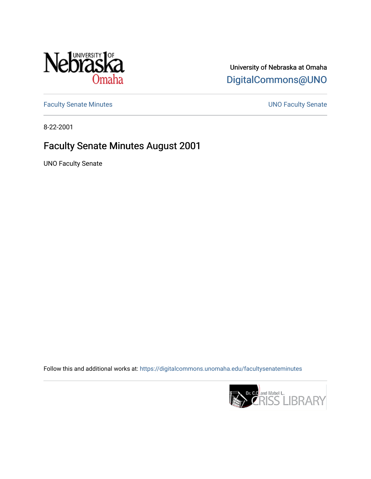

## University of Nebraska at Omaha [DigitalCommons@UNO](https://digitalcommons.unomaha.edu/)

[Faculty Senate Minutes](https://digitalcommons.unomaha.edu/facultysenateminutes) **Exercise Senate UNO Faculty Senate** 

8-22-2001

## Faculty Senate Minutes August 2001

UNO Faculty Senate

Follow this and additional works at: [https://digitalcommons.unomaha.edu/facultysenateminutes](https://digitalcommons.unomaha.edu/facultysenateminutes?utm_source=digitalcommons.unomaha.edu%2Ffacultysenateminutes%2F95&utm_medium=PDF&utm_campaign=PDFCoverPages) 

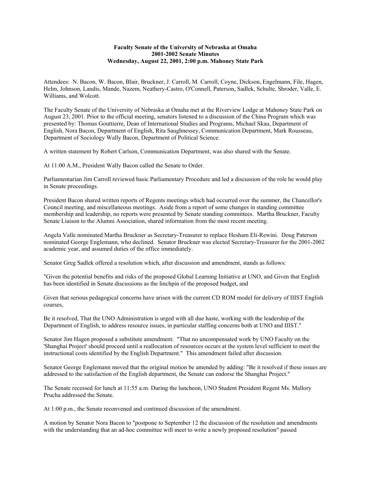## **Faculty Senate of the University of Nebraska at Omaha 2001-2002 Senate Minutes Wednesday, August 22, 2001, 2:00 p.m. Mahoney State Park**

Attendees: N. Bacon, W. Bacon, Blair, Bruckner, J. Carroll, M. Carroll, Coyne, Dickson, Engelmann, File, Hagen, Helm, Johnson, Landis, Mande, Nazem, Neathery-Castro, O'Connell, Paterson, Sadlek, Schulte, Shroder, Valle, E. Williams, and Wolcott.

The Faculty Senate of the University of Nebraska at Omaha met at the Riverview Lodge at Mahoney State Park on August 23, 2001. Prior to the official meeting, senators listened to a discussion of the China Program which was presented by: Thomas Gouttierre, Dean of International Studies and Programs, Michael Skau, Department of English, Nora Bacon, Department of English, Rita Saughnessey, Communication Department, Mark Rousseau, Department of Sociology Wally Bacon, Department of Political Science.

A written statement by Robert Carlson, Communication Department, was also shared with the Senate.

At 11:00 A.M., President Wally Bacon called the Senate to Order.

Parliamentarian Jim Carroll reviewed basic Parliamentary Procedure and led a discussion of the role he would play in Senate proceedings.

President Bacon shared written reports of Regents meetings which had occurred over the summer, the Chancellor's Council meeting, and miscellaneous meetings. Aside from a report of some changes in standing committee membership and leadership, no reports were presented by Senate standing committees. Martha Bruckner, Faculty Senate Liaison to the Alumni Association, shared information from the most recent meeting.

Angela Valle nominated Martha Bruckner as Secretary-Treasurer to replace Hesham Eli-Rewini. Doug Paterson nominated George Englemann, who declined. Senator Bruckner was elected Secretary-Treasurer for the 2001-2002 academic year, and assumed duties of the office immediately.

Senator Greg Sadlek offered a resolution which, after discussion and amendment, stands as follows:

"Given the potential benefits and risks of the proposed Global Learning Initiative at UNO, and Given that English has been identified in Senate discussions as the linchpin of the proposed budget, and

Given that serious pedagogical concerns have arisen with the current CD ROM model for delivery of IIIST English courses,

Be it resolved, That the UNO Administration is urged with all due haste, working with the leadership of the Department of English, to address resource issues, in particular staffing concerns both at UNO and IIIST."

Senator Jim Hagen proposed a substitute amendment: "That no uncompensated work by UNO Faculty on the 'Shanghai Project' should proceed until a reallocation of resources occurs at the system level sufficient to meet the instructional costs identified by the English Department." This amendment failed after discussion.

Senator George Englemann moved that the original motion be amended by adding: "Be it resolved if these issues are addressed to the satisfaction of the English department, the Senate can endorse the Shanghai Project."

The Senate recessed for lunch at 11:55 a.m. During the luncheon, UNO Student President Regent Ms. Mallory Prucha addressed the Senate.

At 1:00 p.m., the Senate reconvened and continued discussion of the amendment.

A motion by Senator Nora Bacon to "postpone to September 12 the discussion of the resolution and amendments with the understanding that an ad-hoc committee will meet to write a newly proposed resolution" passed